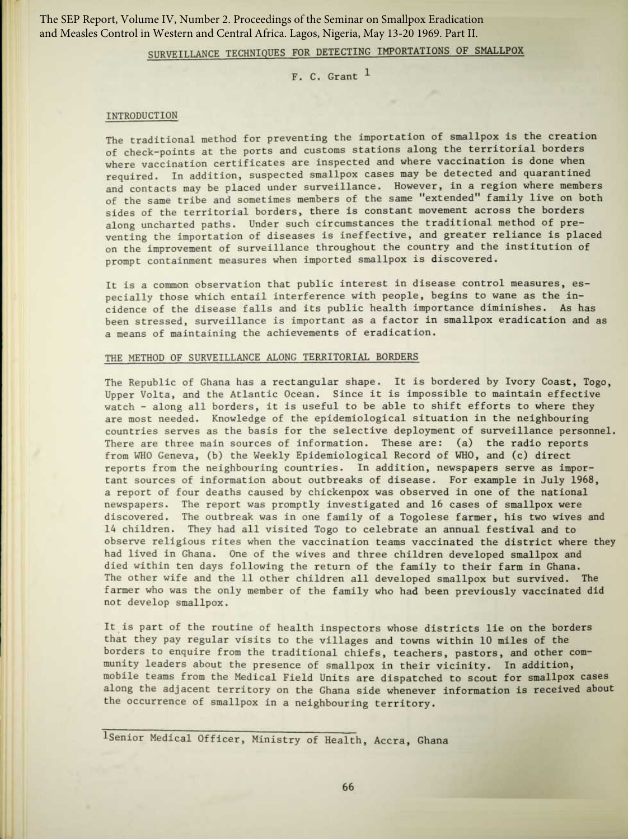The SEP Report, Volume IV, Number 2. Proceedings of the Seminar on Smallpox Eradication and Measles Control in Western and Central Africa. Lagos, Nigeria, May 13-20 1969. Part II.

# SURVEILLANCE TECHNIQUES FOR DETECTING IMPORTATIONS OF SMALLPOX

 $F. C.$  Grant  $<sup>1</sup>$ </sup>

# INTRODUCTION

The traditional method for preventing the importation of smallpox is the creation of check-points at the ports and customs stations along the territorial borders where vaccination certificates are inspected and where vaccination is done when required. In addition, suspected smallpox cases may be detected and quarantined and contacts may be placed under surveillance. However, in a region where members of the same tribe and sometimes members of the same "extended " family live on both sides of the territorial borders, there is constant movement across the borders along uncharted paths. Under such circumstances the traditional method of preventing the importation of diseases is ineffective, and greater reliance is placed on the improvement of surveillance throughout the country and the institution of prompt containment measures when imported smallpox is discovered.

It is a common observation that public interest in disease control measures, especially those which entail interference with people, begins to wane as the incidence of the disease falls and its public health importance diminishes. As has been stressed, surveillance is important as a factor in smallpox eradication and as a means of maintaining the achievements of eradication.

# THE METHOD OF SURVEILLANCE ALONG TERRITORIAL BORDERS

The Republic of Ghana has a rectangular shape. It is bordered by Ivory Coast, Togo, Upper Volta, and the Atlantic Ocean . Since it is impossible to maintain effective watch - along all borders, it is useful to be able to shift efforts to where they are most needed. Knowledge of the epidemiological situation in the neighbouring countries serves as the basis for the selective deployment of surveillance personnel. There are three main sources of information. These are: (a) the radio reports from WHO Geneva, (b) the Weekly Epidemiological Record of WHO, and (c) direct reports from the neighbouring countries. In addition, newspapers serve as important sources of information about outbreaks of disease. For example in July 1968, a report of four deaths caused by chickenpox was observed in one of the national newspapers. The report was promptly investigated and 16 cases of smallpox were discovered. The outbreak was in one family of a Togolese farmer, his two wives and 14 children. They had all visited Togo to celebrate an annual festival and to observe religious rites when the vaccination teams vaccinated the district where they had lived in Ghana. One of the wives and three children developed smallpox and died within ten days following the return of the family to their farm in Ghana. The other wife and the 11 other children all developed smallpox but survived. The farmer who was the only member of the family who had been previously vaccinated did not develop smallpox.

It is part of the routine of health inspectors whose districts lie on the borders that they pay regular visits to the villages and towns within 10 miles of the borders to enquire from the traditional chiefs, teachers, pastors, and other community leaders about the presence of smallpox in their vicinity. In addition, mobile teams from the Medical Field Units are dispatched to scout for smallpox cases along the adjacent territory on the Ghana side whenever information is received about the occurrence of smallpox in a neighbouring territory.

'Senior Medical Officer, Ministry of Health, Accra, Ghana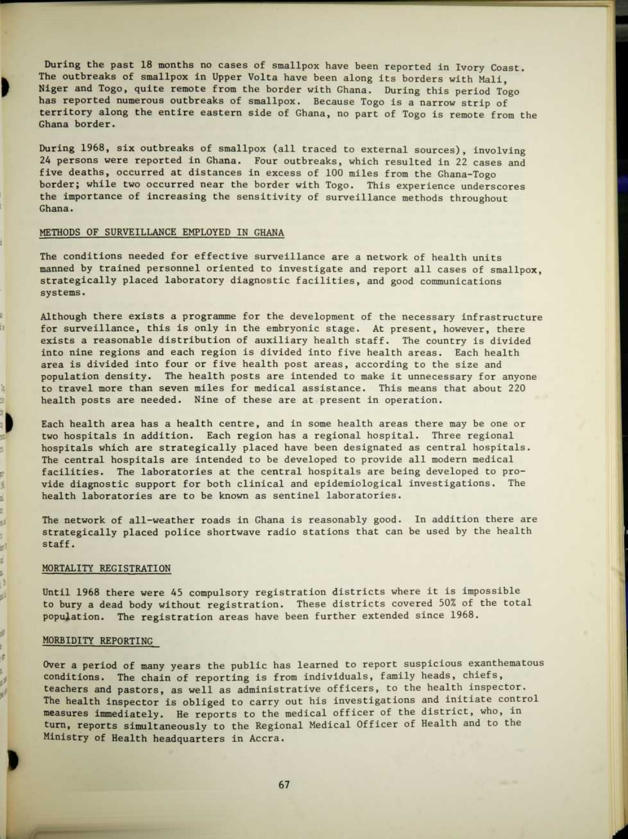During the past 18 months no cases of smallpox have been reported in Ivory Coast. The outbreaks of smallpox in Upper Volta have been along its borders with Mali, Niger and Togo, quite remote from the border with Ghana. During this period Togo has reported numerous outbreaks of smallpox. Because Togo is a narrow strip of territory along the entire eastern side of Ghana, no part of Togo is remote from the Ghana border.

During 1968, six outbreaks of smallpox (all traced to external sources), involving 24 persons were reported in Ghana. Four outbreaks, which resulted in 22 cases and five deaths, occurred at distances in excess of 100 miles from the Ghana-Togo border; while two occurred near the border with Togo. This experience underscores the importance of increasing the sensitivity of surveillance methods throughout Ghana.

# METHODS OF SURVEILLANCE EMPLOYED IN GHANA

Đ

Iş.

a.

s 圓 ś. s 례

斟 s. s. J g.

ø í ø The conditions needed for effective surveillance are a network of health units manned by trained personnel oriented to investigate and report all cases of smallpox, strategically placed laboratory diagnostic facilities, and good communications systems.

Although there exists a programme for the development of the necessary infrastructure for surveillance, this is only in the embryonic stage. At present, however, there exists a reasonable distribution of auxiliary health staff. The country is divided into nine regions and each region is divided into five health areas. Each health area is divided into four or five health post areas, according to the size and population density. The health posts are intended to make it unnecessary for anyone to travel more than seven miles for medical assistance . This means that about 220 health posts are needed. Nine of these are at present in operation.

Each health area has a health centre, and in some health areas there may be one or two hospitals in addition. Each region has a regional hospital. Three regional hospitals which are strategically placed have been designated as central hospitals. The central hospitals are intended to be developed to provide all modern medical facilities. The laboratories at the central hospitals are being developed to provide diagnostic support for both clinical and epidemiological investigations . The health laboratories are to be known as sentinel laboratories.

The network of all-weather roads in Ghana is reasonably good. In addition there are strategically placed police shortwave radio stations that can be used by the health staff.

# MORTALITY REGISTRATION

Until 1968 there were 45 compulsory registration districts where it is impossible to bury a dead body without registration. These districts covered 50% of the total population. The registration areas have been further extended since 1968.

#### MORBIDITY REPORTING

Over a period of many years the public has learned to report suspicious exanthematous conditions. The chain of reporting is from individuals, family heads, chiefs, teachers and pastors, as well as administrative officers, to the health inspector. The health inspector is obliged to carry out his investigations and initiate control measures immediately. He reports to the medical officer of the district, who, in turn, reports simultaneously to the Regional Medical Officer of Health and to the Ministry of Health headquarters in Accra.